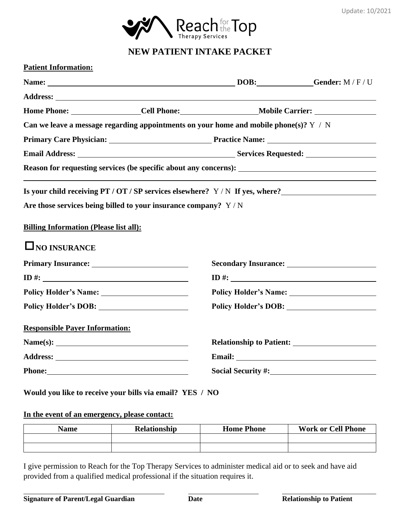

# **NEW PATIENT INTAKE PACKET**

|                                               | Can we leave a message regarding appointments on your home and mobile phone(s)? $Y / N$ |                                 |
|-----------------------------------------------|-----------------------------------------------------------------------------------------|---------------------------------|
|                                               |                                                                                         |                                 |
|                                               | Email Address: Services Requested: Services Requested:                                  |                                 |
|                                               |                                                                                         |                                 |
|                                               | Is your child receiving PT / OT / SP services elsewhere? Y / N If yes, where?           |                                 |
|                                               | Are those services being billed to your insurance company? Y/N                          |                                 |
|                                               |                                                                                         |                                 |
|                                               |                                                                                         |                                 |
| <b>Billing Information (Please list all):</b> |                                                                                         |                                 |
| $\square$ NO INSURANCE                        |                                                                                         |                                 |
|                                               |                                                                                         |                                 |
|                                               |                                                                                         |                                 |
|                                               |                                                                                         |                                 |
|                                               |                                                                                         |                                 |
| <b>Responsible Payer Information:</b>         |                                                                                         |                                 |
| Name(s): $\qquad \qquad$                      |                                                                                         | <b>Relationship to Patient:</b> |
|                                               |                                                                                         |                                 |

## **Would you like to receive your bills via email? YES / NO**

#### **In the event of an emergency, please contact:**

| <b>Name</b> | <b>Relationship</b> | <b>Home Phone</b> | <b>Work or Cell Phone</b> |
|-------------|---------------------|-------------------|---------------------------|
|             |                     |                   |                           |
|             |                     |                   |                           |

I give permission to Reach for the Top Therapy Services to administer medical aid or to seek and have aid provided from a qualified medical professional if the situation requires it.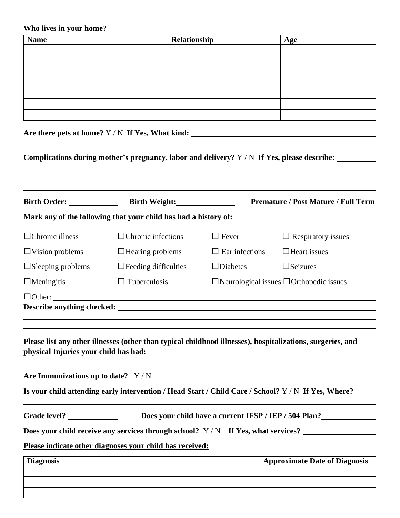#### **Who lives in your home?**

| <b>Name</b> | Relationship | Age |
|-------------|--------------|-----|
|             |              |     |
|             |              |     |
|             |              |     |
|             |              |     |
|             |              |     |
|             |              |     |
|             |              |     |
|             |              |     |

**Are there pets at home?** Y / N **If Yes, What kind:** 

**Complications during mother's pregnancy, labor and delivery?** Y / N **If Yes, please describe:**

|                                     |                                                                                                            |                       | <b>Premature / Post Mature / Full Term</b>                                                          |
|-------------------------------------|------------------------------------------------------------------------------------------------------------|-----------------------|-----------------------------------------------------------------------------------------------------|
|                                     | Mark any of the following that your child has had a history of:                                            |                       |                                                                                                     |
| $\Box$ Chronic illness              | $\Box$ Chronic infections                                                                                  | $\Box$ Fever          | $\Box$ Respiratory issues                                                                           |
| $\Box$ Vision problems              | $\Box$ Hearing problems                                                                                    | $\Box$ Ear infections | $\Box$ Heart issues                                                                                 |
| $\Box$ Sleeping problems            | $\Box$ Feeding difficulties                                                                                | $\Box$ Diabetes       | $\square$ Seizures                                                                                  |
| $\Box$ Meningitis                   | $\Box$ Tuberculosis                                                                                        |                       | $\Box$ Neurological issues $\Box$ Orthopedic issues                                                 |
|                                     |                                                                                                            |                       |                                                                                                     |
|                                     |                                                                                                            |                       |                                                                                                     |
|                                     | Please list any other illnesses (other than typical childhood illnesses), hospitalizations, surgeries, and |                       |                                                                                                     |
| Are Immunizations up to date? $Y/N$ |                                                                                                            |                       |                                                                                                     |
|                                     |                                                                                                            |                       | Is your child attending early intervention / Head Start / Child Care / School? Y / N If Yes, Where? |
|                                     |                                                                                                            |                       | Does your child have a current IFSP / IEP / 504 Plan?                                               |
|                                     |                                                                                                            |                       | Does your child receive any services through school? $Y/N$ If Yes, what services?                   |
|                                     | Please indicate other diagnoses your child has received:                                                   |                       |                                                                                                     |
| <b>Diagnosis</b>                    |                                                                                                            |                       | <b>Approximate Date of Diagnosis</b>                                                                |
|                                     |                                                                                                            |                       |                                                                                                     |
|                                     |                                                                                                            |                       |                                                                                                     |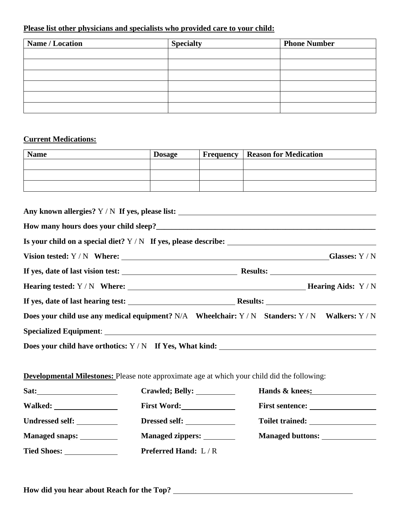#### **Please list other physicians and specialists who provided care to your child:**

| Name / Location | <b>Specialty</b> | <b>Phone Number</b> |
|-----------------|------------------|---------------------|
|                 |                  |                     |
|                 |                  |                     |
|                 |                  |                     |
|                 |                  |                     |
|                 |                  |                     |
|                 |                  |                     |

## **Current Medications:**

| <b>Name</b> | <b>Dosage</b> | <b>Frequency   Reason for Medication</b> |
|-------------|---------------|------------------------------------------|
|             |               |                                          |
|             |               |                                          |
|             |               |                                          |

|                                                                                                     | Any known allergies? Y / N If yes, please list: _________________________________               |
|-----------------------------------------------------------------------------------------------------|-------------------------------------------------------------------------------------------------|
|                                                                                                     |                                                                                                 |
|                                                                                                     |                                                                                                 |
|                                                                                                     |                                                                                                 |
|                                                                                                     |                                                                                                 |
|                                                                                                     |                                                                                                 |
|                                                                                                     |                                                                                                 |
|                                                                                                     | Does your child use any medical equipment? N/A Wheelchair: Y / N Standers: Y / N Walkers: Y / N |
|                                                                                                     |                                                                                                 |
|                                                                                                     | Does your child have orthotics: Y / N If Yes, What kind: ________________________               |
|                                                                                                     |                                                                                                 |
| <b>Developmental Milestones:</b> Please note approximate age at which your child did the following: |                                                                                                 |

| Sat:                  | Crawled; Belly: ____________ | Hands & knees:                                                                                                                                                                                                                       |
|-----------------------|------------------------------|--------------------------------------------------------------------------------------------------------------------------------------------------------------------------------------------------------------------------------------|
|                       | First Word:                  |                                                                                                                                                                                                                                      |
| Undressed self:       | Dressed self:                | Toilet trained: <u>New York: New York: New York: New York: New York: New York: New York: New York: New York: New York: New York: New York: New York: New York: New York: New York: New York: New York: New York: New York: New Y</u> |
| <b>Managed snaps:</b> | Managed zippers: ________    | Managed buttons:                                                                                                                                                                                                                     |
| <b>Tied Shoes:</b>    | <b>Preferred Hand:</b> L/R   |                                                                                                                                                                                                                                      |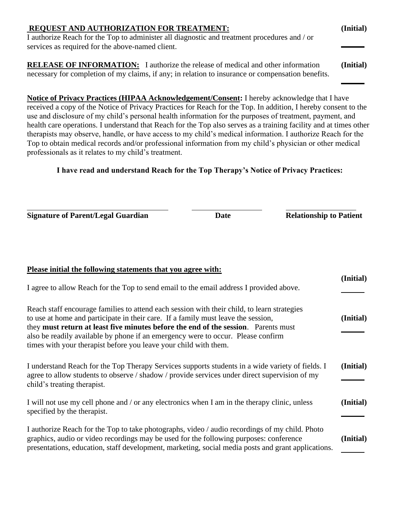| <b>REQUEST AND AUTHORIZATION FOR TREATMENT:</b>                                                   | (Initial) |
|---------------------------------------------------------------------------------------------------|-----------|
| I authorize Reach for the Top to administer all diagnostic and treatment procedures and / or      |           |
| services as required for the above-named client.                                                  |           |
|                                                                                                   |           |
| <b>RELEASE OF INFORMATION:</b> I authorize the release of medical and other information           | (Initial) |
| necessary for completion of my claims, if any; in relation to insurance or compensation benefits. |           |
|                                                                                                   |           |

**Notice of Privacy Practices (HIPAA Acknowledgement/Consent:** I hereby acknowledge that I have received a copy of the Notice of Privacy Practices for Reach for the Top. In addition, I hereby consent to the use and disclosure of my child's personal health information for the purposes of treatment, payment, and health care operations. I understand that Reach for the Top also serves as a training facility and at times other therapists may observe, handle, or have access to my child's medical information. I authorize Reach for the Top to obtain medical records and/or professional information from my child's physician or other medical professionals as it relates to my child's treatment.

## **I have read and understand Reach for the Top Therapy's Notice of Privacy Practices:**

**Signature of Parent/Legal Guardian Date Date Relationship to Patient** 

**Please initial the following statements that you agree with:**

 $\overline{a}$ 

| т казе пинат ик топо оте знаситения инас уби адгес отни.                                                                                                                                                                                                                                                                                                                                                                       |           |
|--------------------------------------------------------------------------------------------------------------------------------------------------------------------------------------------------------------------------------------------------------------------------------------------------------------------------------------------------------------------------------------------------------------------------------|-----------|
| I agree to allow Reach for the Top to send email to the email address I provided above.                                                                                                                                                                                                                                                                                                                                        | (Initial) |
| Reach staff encourage families to attend each session with their child, to learn strategies<br>to use at home and participate in their care. If a family must leave the session,<br>they must return at least five minutes before the end of the session. Parents must<br>also be readily available by phone if an emergency were to occur. Please confirm<br>times with your therapist before you leave your child with them. | (Initial) |
| I understand Reach for the Top Therapy Services supports students in a wide variety of fields. I<br>agree to allow students to observe / shadow / provide services under direct supervision of my<br>child's treating therapist.                                                                                                                                                                                               | (Initial) |
| I will not use my cell phone and / or any electronics when I am in the therapy clinic, unless<br>specified by the therapist.                                                                                                                                                                                                                                                                                                   | (Initial) |
| I authorize Reach for the Top to take photographs, video / audio recordings of my child. Photo<br>graphics, audio or video recordings may be used for the following purposes: conference<br>presentations, education, staff development, marketing, social media posts and grant applications.                                                                                                                                 | (Initial) |